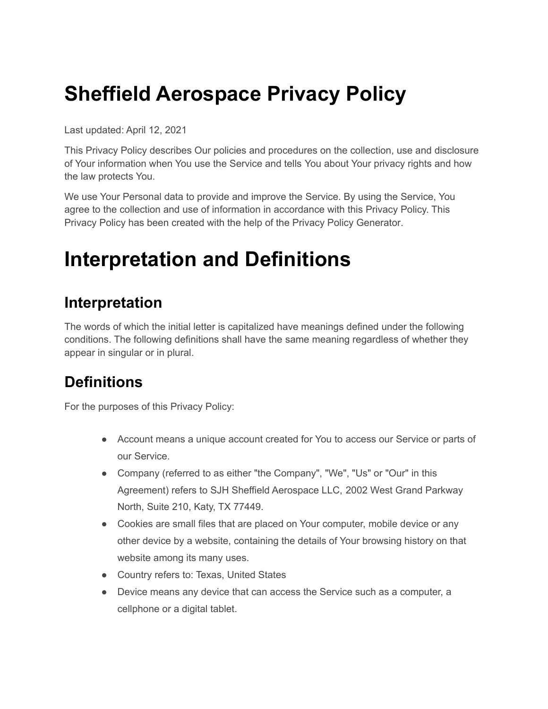# **Sheffield Aerospace Privacy Policy**

Last updated: April 12, 2021

This Privacy Policy describes Our policies and procedures on the collection, use and disclosure of Your information when You use the Service and tells You about Your privacy rights and how the law protects You.

We use Your Personal data to provide and improve the Service. By using the Service, You agree to the collection and use of information in accordance with this Privacy Policy. This Privacy Policy has been created with the help of the Privacy Policy [Generator.](https://www.termsfeed.com/privacy-policy-generator/)

## **Interpretation and Definitions**

#### **Interpretation**

The words of which the initial letter is capitalized have meanings defined under the following conditions. The following definitions shall have the same meaning regardless of whether they appear in singular or in plural.

## **Definitions**

For the purposes of this Privacy Policy:

- Account means a unique account created for You to access our Service or parts of our Service.
- Company (referred to as either "the Company", "We", "Us" or "Our" in this Agreement) refers to SJH Sheffield Aerospace LLC, 2002 West Grand Parkway North, Suite 210, Katy, TX 77449.
- Cookies are small files that are placed on Your computer, mobile device or any other device by a website, containing the details of Your browsing history on that website among its many uses.
- Country refers to: Texas, United States
- Device means any device that can access the Service such as a computer, a cellphone or a digital tablet.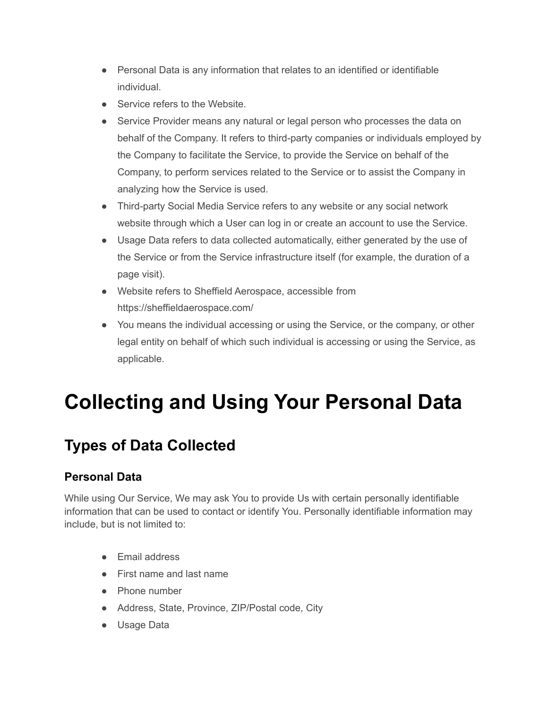- Personal Data is any information that relates to an identified or identifiable individual.
- Service refers to the Website.
- Service Provider means any natural or legal person who processes the data on behalf of the Company. It refers to third-party companies or individuals employed by the Company to facilitate the Service, to provide the Service on behalf of the Company, to perform services related to the Service or to assist the Company in analyzing how the Service is used.
- Third-party Social Media Service refers to any website or any social network website through which a User can log in or create an account to use the Service.
- Usage Data refers to data collected automatically, either generated by the use of the Service or from the Service infrastructure itself (for example, the duration of a page visit).
- Website refers to Sheffield Aerospace, accessible from <https://sheffieldaerospace.com/>
- You means the individual accessing or using the Service, or the company, or other legal entity on behalf of which such individual is accessing or using the Service, as applicable.

# **Collecting and Using Your Personal Data**

### **Types of Data Collected**

#### **Personal Data**

While using Our Service, We may ask You to provide Us with certain personally identifiable information that can be used to contact or identify You. Personally identifiable information may include, but is not limited to:

- Email address
- First name and last name
- Phone number
- Address, State, Province, ZIP/Postal code, City
- Usage Data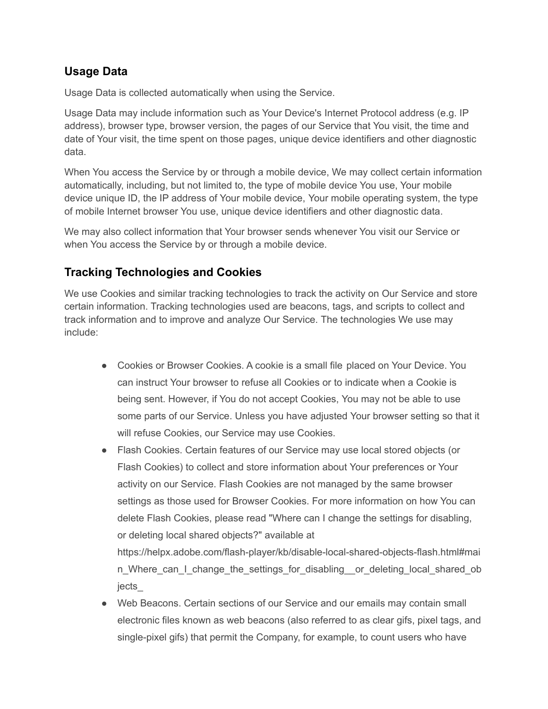#### **Usage Data**

Usage Data is collected automatically when using the Service.

Usage Data may include information such as Your Device's Internet Protocol address (e.g. IP address), browser type, browser version, the pages of our Service that You visit, the time and date of Your visit, the time spent on those pages, unique device identifiers and other diagnostic data.

When You access the Service by or through a mobile device, We may collect certain information automatically, including, but not limited to, the type of mobile device You use, Your mobile device unique ID, the IP address of Your mobile device, Your mobile operating system, the type of mobile Internet browser You use, unique device identifiers and other diagnostic data.

We may also collect information that Your browser sends whenever You visit our Service or when You access the Service by or through a mobile device.

#### **Tracking Technologies and Cookies**

We use Cookies and similar tracking technologies to track the activity on Our Service and store certain information. Tracking technologies used are beacons, tags, and scripts to collect and track information and to improve and analyze Our Service. The technologies We use may include:

- Cookies or Browser Cookies. A cookie is a small file placed on Your Device. You can instruct Your browser to refuse all Cookies or to indicate when a Cookie is being sent. However, if You do not accept Cookies, You may not be able to use some parts of our Service. Unless you have adjusted Your browser setting so that it will refuse Cookies, our Service may use Cookies.
- Flash Cookies. Certain features of our Service may use local stored objects (or Flash Cookies) to collect and store information about Your preferences or Your activity on our Service. Flash Cookies are not managed by the same browser settings as those used for Browser Cookies. For more information on how You can delete Flash Cookies, please read "Where can I change the settings for disabling, or deleting local shared objects?" available at

[https://helpx.adobe.com/flash-player/kb/disable-local-shared-objects-flash.html#mai](https://helpx.adobe.com/flash-player/kb/disable-local-shared-objects-flash.html#main_Where_can_I_change_the_settings_for_disabling__or_deleting_local_shared_objects_) [n\\_Where\\_can\\_I\\_change\\_the\\_settings\\_for\\_disabling\\_\\_or\\_deleting\\_local\\_shared\\_ob](https://helpx.adobe.com/flash-player/kb/disable-local-shared-objects-flash.html#main_Where_can_I_change_the_settings_for_disabling__or_deleting_local_shared_objects_) [jects\\_](https://helpx.adobe.com/flash-player/kb/disable-local-shared-objects-flash.html#main_Where_can_I_change_the_settings_for_disabling__or_deleting_local_shared_objects_)

● Web Beacons. Certain sections of our Service and our emails may contain small electronic files known as web beacons (also referred to as clear gifs, pixel tags, and single-pixel gifs) that permit the Company, for example, to count users who have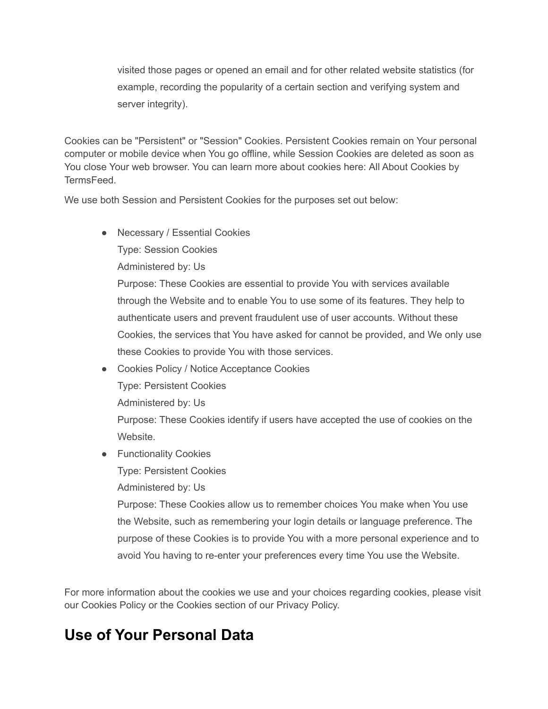visited those pages or opened an email and for other related website statistics (for example, recording the popularity of a certain section and verifying system and server integrity).

Cookies can be "Persistent" or "Session" Cookies. Persistent Cookies remain on Your personal computer or mobile device when You go offline, while Session Cookies are deleted as soon as You close Your web browser. You can learn more about cookies here: All About [Cookies](https://www.termsfeed.com/blog/cookies/) by **[TermsFeed.](https://www.termsfeed.com/blog/cookies/)** 

We use both Session and Persistent Cookies for the purposes set out below:

● Necessary / Essential Cookies

Type: Session Cookies

Administered by: Us

Purpose: These Cookies are essential to provide You with services available through the Website and to enable You to use some of its features. They help to authenticate users and prevent fraudulent use of user accounts. Without these Cookies, the services that You have asked for cannot be provided, and We only use these Cookies to provide You with those services.

● Cookies Policy / Notice Acceptance Cookies

Type: Persistent Cookies

Administered by: Us

Purpose: These Cookies identify if users have accepted the use of cookies on the Website.

● Functionality Cookies

Type: Persistent Cookies

Administered by: Us

Purpose: These Cookies allow us to remember choices You make when You use the Website, such as remembering your login details or language preference. The purpose of these Cookies is to provide You with a more personal experience and to avoid You having to re-enter your preferences every time You use the Website.

For more information about the cookies we use and your choices regarding cookies, please visit our Cookies Policy or the Cookies section of our Privacy Policy.

#### **Use of Your Personal Data**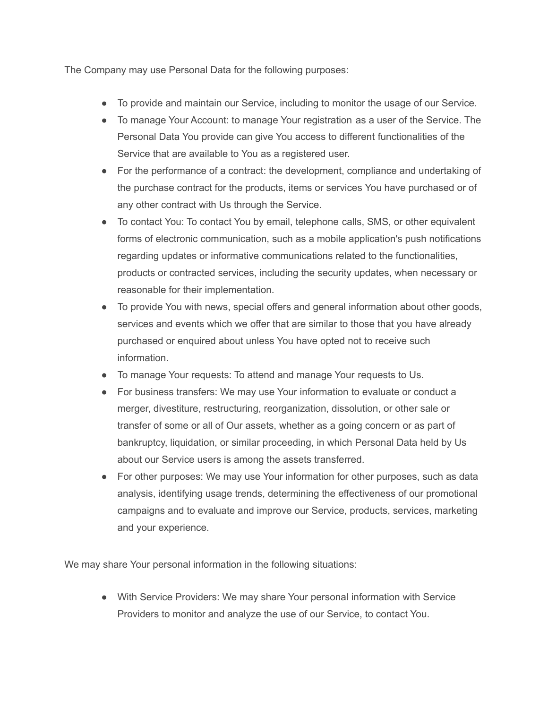The Company may use Personal Data for the following purposes:

- To provide and maintain our Service, including to monitor the usage of our Service.
- To manage Your Account: to manage Your registration as a user of the Service. The Personal Data You provide can give You access to different functionalities of the Service that are available to You as a registered user.
- For the performance of a contract: the development, compliance and undertaking of the purchase contract for the products, items or services You have purchased or of any other contract with Us through the Service.
- To contact You: To contact You by email, telephone calls, SMS, or other equivalent forms of electronic communication, such as a mobile application's push notifications regarding updates or informative communications related to the functionalities, products or contracted services, including the security updates, when necessary or reasonable for their implementation.
- To provide You with news, special offers and general information about other goods, services and events which we offer that are similar to those that you have already purchased or enquired about unless You have opted not to receive such information.
- To manage Your requests: To attend and manage Your requests to Us.
- For business transfers: We may use Your information to evaluate or conduct a merger, divestiture, restructuring, reorganization, dissolution, or other sale or transfer of some or all of Our assets, whether as a going concern or as part of bankruptcy, liquidation, or similar proceeding, in which Personal Data held by Us about our Service users is among the assets transferred.
- For other purposes: We may use Your information for other purposes, such as data analysis, identifying usage trends, determining the effectiveness of our promotional campaigns and to evaluate and improve our Service, products, services, marketing and your experience.

We may share Your personal information in the following situations:

● With Service Providers: We may share Your personal information with Service Providers to monitor and analyze the use of our Service, to contact You.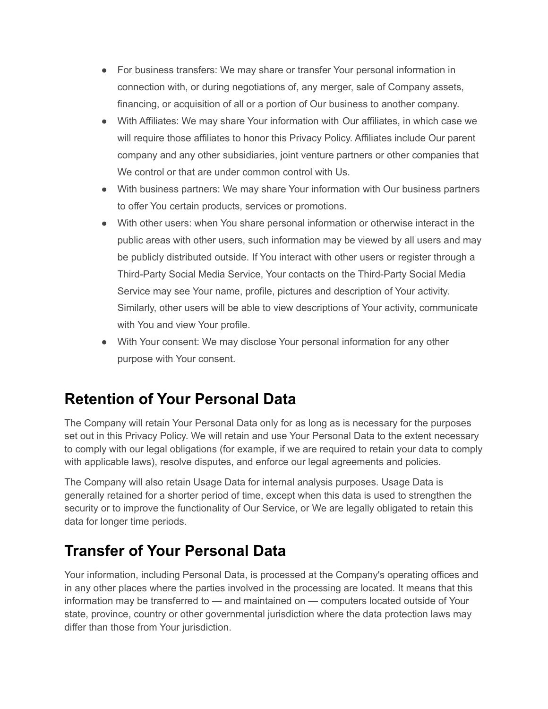- For business transfers: We may share or transfer Your personal information in connection with, or during negotiations of, any merger, sale of Company assets, financing, or acquisition of all or a portion of Our business to another company.
- With Affiliates: We may share Your information with Our affiliates, in which case we will require those affiliates to honor this Privacy Policy. Affiliates include Our parent company and any other subsidiaries, joint venture partners or other companies that We control or that are under common control with Us.
- With business partners: We may share Your information with Our business partners to offer You certain products, services or promotions.
- With other users: when You share personal information or otherwise interact in the public areas with other users, such information may be viewed by all users and may be publicly distributed outside. If You interact with other users or register through a Third-Party Social Media Service, Your contacts on the Third-Party Social Media Service may see Your name, profile, pictures and description of Your activity. Similarly, other users will be able to view descriptions of Your activity, communicate with You and view Your profile.
- With Your consent: We may disclose Your personal information for any other purpose with Your consent.

### **Retention of Your Personal Data**

The Company will retain Your Personal Data only for as long as is necessary for the purposes set out in this Privacy Policy. We will retain and use Your Personal Data to the extent necessary to comply with our legal obligations (for example, if we are required to retain your data to comply with applicable laws), resolve disputes, and enforce our legal agreements and policies.

The Company will also retain Usage Data for internal analysis purposes. Usage Data is generally retained for a shorter period of time, except when this data is used to strengthen the security or to improve the functionality of Our Service, or We are legally obligated to retain this data for longer time periods.

### **Transfer of Your Personal Data**

Your information, including Personal Data, is processed at the Company's operating offices and in any other places where the parties involved in the processing are located. It means that this information may be transferred to — and maintained on — computers located outside of Your state, province, country or other governmental jurisdiction where the data protection laws may differ than those from Your jurisdiction.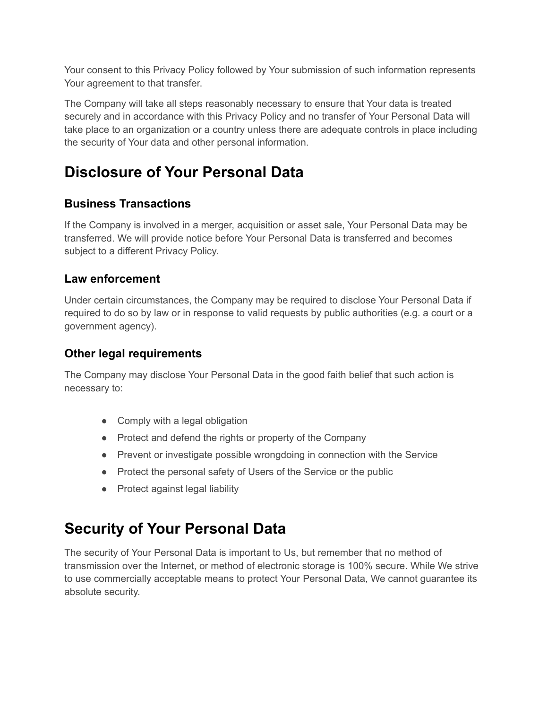Your consent to this Privacy Policy followed by Your submission of such information represents Your agreement to that transfer.

The Company will take all steps reasonably necessary to ensure that Your data is treated securely and in accordance with this Privacy Policy and no transfer of Your Personal Data will take place to an organization or a country unless there are adequate controls in place including the security of Your data and other personal information.

## **Disclosure of Your Personal Data**

#### **Business Transactions**

If the Company is involved in a merger, acquisition or asset sale, Your Personal Data may be transferred. We will provide notice before Your Personal Data is transferred and becomes subject to a different Privacy Policy.

#### **Law enforcement**

Under certain circumstances, the Company may be required to disclose Your Personal Data if required to do so by law or in response to valid requests by public authorities (e.g. a court or a government agency).

#### **Other legal requirements**

The Company may disclose Your Personal Data in the good faith belief that such action is necessary to:

- Comply with a legal obligation
- Protect and defend the rights or property of the Company
- Prevent or investigate possible wrongdoing in connection with the Service
- Protect the personal safety of Users of the Service or the public
- Protect against legal liability

## **Security of Your Personal Data**

The security of Your Personal Data is important to Us, but remember that no method of transmission over the Internet, or method of electronic storage is 100% secure. While We strive to use commercially acceptable means to protect Your Personal Data, We cannot guarantee its absolute security.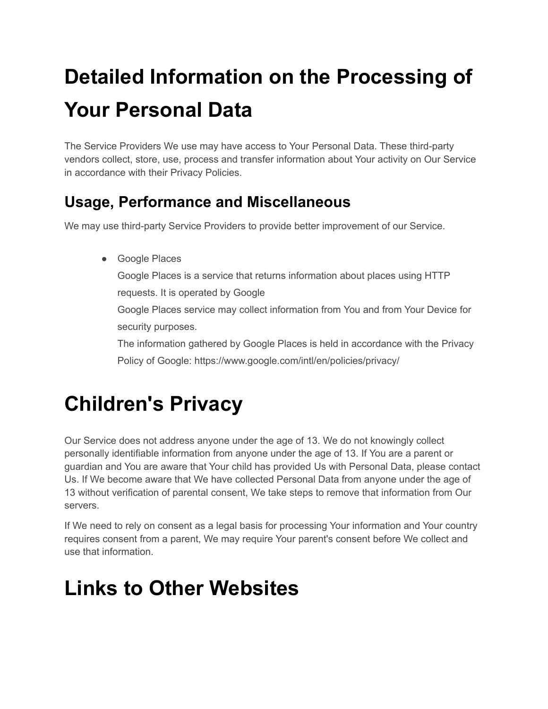# **Detailed Information on the Processing of Your Personal Data**

The Service Providers We use may have access to Your Personal Data. These third-party vendors collect, store, use, process and transfer information about Your activity on Our Service in accordance with their Privacy Policies.

## **Usage, Performance and Miscellaneous**

We may use third-party Service Providers to provide better improvement of our Service.

● Google Places Google Places is a service that returns information about places using HTTP requests. It is operated by Google Google Places service may collect information from You and from Your Device for security purposes. The information gathered by Google Places is held in accordance with the Privacy Policy of Google: <https://www.google.com/intl/en/policies/privacy/>

# **Children's Privacy**

Our Service does not address anyone under the age of 13. We do not knowingly collect personally identifiable information from anyone under the age of 13. If You are a parent or guardian and You are aware that Your child has provided Us with Personal Data, please contact Us. If We become aware that We have collected Personal Data from anyone under the age of 13 without verification of parental consent, We take steps to remove that information from Our servers.

If We need to rely on consent as a legal basis for processing Your information and Your country requires consent from a parent, We may require Your parent's consent before We collect and use that information.

# **Links to Other Websites**